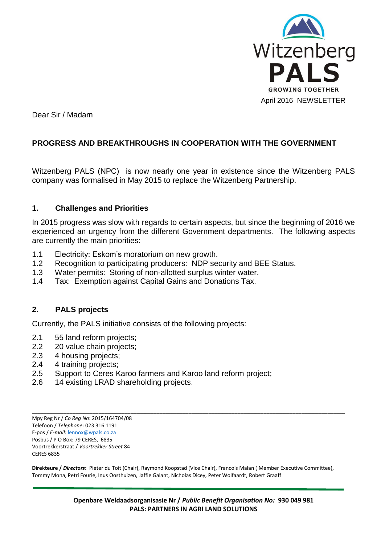

Dear Sir / Madam

# **PROGRESS AND BREAKTHROUGHS IN COOPERATION WITH THE GOVERNMENT**

Witzenberg PALS (NPC) is now nearly one year in existence since the Witzenberg PALS company was formalised in May 2015 to replace the Witzenberg Partnership.

#### **1. Challenges and Priorities**

In 2015 progress was slow with regards to certain aspects, but since the beginning of 2016 we experienced an urgency from the different Government departments. The following aspects are currently the main priorities:

- 1.1 Electricity: Eskom's moratorium on new growth.
- 1.2 Recognition to participating producers: NDP security and BEE Status.
- 1.3 Water permits: Storing of non-allotted surplus winter water.
- 1.4 Tax: Exemption against Capital Gains and Donations Tax.

## **2. PALS projects**

Currently, the PALS initiative consists of the following projects:

- 2.1 55 land reform projects;
- 2.2 20 value chain projects;
- 2.3 4 housing projects;
- 2.4 4 training projects;
- 2.5 Support to Ceres Karoo farmers and Karoo land reform project;
- 2.6 14 existing LRAD shareholding projects.

Mpy Reg Nr / *Co Reg No*: 2015/164704/08 Telefoon / *Telephone*: 023 316 1191 E-pos / *E-mail*[: lennox@wpals.co.za](mailto:lennox@wpals.co.za) Posbus / P O Box: 79 CERES, 6835 Voortrekkerstraat / *Voortrekker Street* 84 CERES 6835

**Direkteure /** *Directors***:** Pieter du Toit (Chair), Raymond Koopstad (Vice Chair), Francois Malan ( Member Executive Committee), Tommy Mona, Petri Fourie, Inus Oosthuizen, Jaffie Galant, Nicholas Dicey, Peter Wolfaardt, Robert Graaff

\_\_\_\_\_\_\_\_\_\_\_\_\_\_\_\_\_\_\_\_\_\_\_\_\_\_\_\_\_\_\_\_\_\_\_\_\_\_\_\_\_\_\_\_\_\_\_\_\_\_\_\_\_\_\_\_\_\_\_\_\_\_\_\_\_\_\_\_\_\_\_\_\_\_\_\_\_\_\_\_\_\_\_\_\_\_\_\_\_\_\_\_\_\_\_\_\_\_\_\_\_\_\_\_\_\_\_\_

**Openbare Weldaadsorganisasie Nr /** *Public Benefit Organisation No:* **930 049 981 PALS: PARTNERS IN AGRI LAND SOLUTIONS**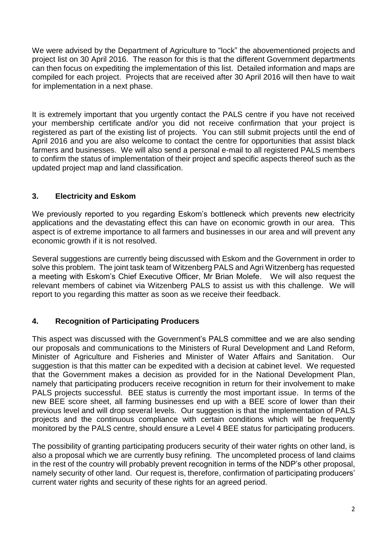We were advised by the Department of Agriculture to "lock" the abovementioned projects and project list on 30 April 2016. The reason for this is that the different Government departments can then focus on expediting the implementation of this list. Detailed information and maps are compiled for each project. Projects that are received after 30 April 2016 will then have to wait for implementation in a next phase.

It is extremely important that you urgently contact the PALS centre if you have not received your membership certificate and/or you did not receive confirmation that your project is registered as part of the existing list of projects. You can still submit projects until the end of April 2016 and you are also welcome to contact the centre for opportunities that assist black farmers and businesses. We will also send a personal e-mail to all registered PALS members to confirm the status of implementation of their project and specific aspects thereof such as the updated project map and land classification.

# **3. Electricity and Eskom**

We previously reported to you regarding Eskom's bottleneck which prevents new electricity applications and the devastating effect this can have on economic growth in our area. This aspect is of extreme importance to all farmers and businesses in our area and will prevent any economic growth if it is not resolved.

Several suggestions are currently being discussed with Eskom and the Government in order to solve this problem. The joint task team of Witzenberg PALS and Agri Witzenberg has requested a meeting with Eskom's Chief Executive Officer, Mr Brian Molefe. We will also request the relevant members of cabinet via Witzenberg PALS to assist us with this challenge. We will report to you regarding this matter as soon as we receive their feedback.

## **4. Recognition of Participating Producers**

This aspect was discussed with the Government's PALS committee and we are also sending our proposals and communications to the Ministers of Rural Development and Land Reform, Minister of Agriculture and Fisheries and Minister of Water Affairs and Sanitation. Our suggestion is that this matter can be expedited with a decision at cabinet level. We requested that the Government makes a decision as provided for in the National Development Plan, namely that participating producers receive recognition in return for their involvement to make PALS projects successful. BEE status is currently the most important issue. In terms of the new BEE score sheet, all farming businesses end up with a BEE score of lower than their previous level and will drop several levels. Our suggestion is that the implementation of PALS projects and the continuous compliance with certain conditions which will be frequently monitored by the PALS centre, should ensure a Level 4 BEE status for participating producers.

The possibility of granting participating producers security of their water rights on other land, is also a proposal which we are currently busy refining. The uncompleted process of land claims in the rest of the country will probably prevent recognition in terms of the NDP's other proposal, namely security of other land. Our request is, therefore, confirmation of participating producers' current water rights and security of these rights for an agreed period.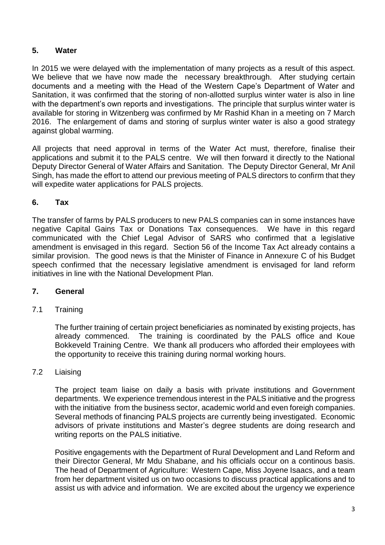# **5. Water**

In 2015 we were delayed with the implementation of many projects as a result of this aspect. We believe that we have now made the necessary breakthrough. After studying certain documents and a meeting with the Head of the Western Cape's Department of Water and Sanitation, it was confirmed that the storing of non-allotted surplus winter water is also in line with the department's own reports and investigations. The principle that surplus winter water is available for storing in Witzenberg was confirmed by Mr Rashid Khan in a meeting on 7 March 2016. The enlargement of dams and storing of surplus winter water is also a good strategy against global warming.

All projects that need approval in terms of the Water Act must, therefore, finalise their applications and submit it to the PALS centre. We will then forward it directly to the National Deputy Director General of Water Affairs and Sanitation. The Deputy Director General, Mr Anil Singh, has made the effort to attend our previous meeting of PALS directors to confirm that they will expedite water applications for PALS projects.

# **6. Tax**

The transfer of farms by PALS producers to new PALS companies can in some instances have negative Capital Gains Tax or Donations Tax consequences. We have in this regard communicated with the Chief Legal Advisor of SARS who confirmed that a legislative amendment is envisaged in this regard. Section 56 of the Income Tax Act already contains a similar provision. The good news is that the Minister of Finance in Annexure C of his Budget speech confirmed that the necessary legislative amendment is envisaged for land reform initiatives in line with the National Development Plan.

## **7. General**

## 7.1 Training

The further training of certain project beneficiaries as nominated by existing projects, has already commenced. The training is coordinated by the PALS office and Koue Bokkeveld Training Centre. We thank all producers who afforded their employees with the opportunity to receive this training during normal working hours.

## 7.2 Liaising

The project team liaise on daily a basis with private institutions and Government departments. We experience tremendous interest in the PALS initiative and the progress with the initiative from the business sector, academic world and even foreigh companies. Several methods of financing PALS projects are currently being investigated. Economic advisors of private institutions and Master's degree students are doing research and writing reports on the PALS initiative.

Positive engagements with the Department of Rural Development and Land Reform and their Director General, Mr Mdu Shabane, and his officials occur on a continous basis. The head of Department of Agriculture: Western Cape, Miss Joyene Isaacs, and a team from her department visited us on two occasions to discuss practical applications and to assist us with advice and information. We are excited about the urgency we experience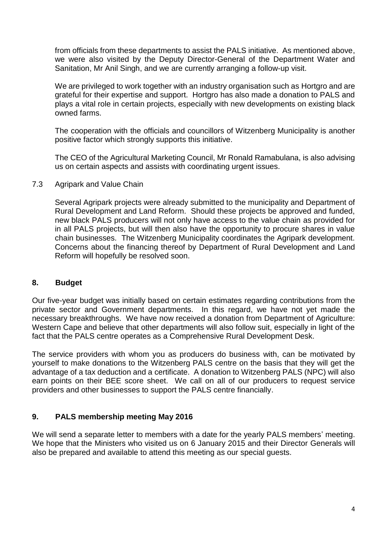from officials from these departments to assist the PALS initiative. As mentioned above, we were also visited by the Deputy Director-General of the Department Water and Sanitation, Mr Anil Singh, and we are currently arranging a follow-up visit.

We are privileged to work together with an industry organisation such as Hortgro and are grateful for their expertise and support. Hortgro has also made a donation to PALS and plays a vital role in certain projects, especially with new developments on existing black owned farms.

The cooperation with the officials and councillors of Witzenberg Municipality is another positive factor which strongly supports this initiative.

The CEO of the Agricultural Marketing Council, Mr Ronald Ramabulana, is also advising us on certain aspects and assists with coordinating urgent issues.

7.3 Agripark and Value Chain

Several Agripark projects were already submitted to the municipality and Department of Rural Development and Land Reform. Should these projects be approved and funded, new black PALS producers will not only have access to the value chain as provided for in all PALS projects, but will then also have the opportunity to procure shares in value chain businesses. The Witzenberg Municipality coordinates the Agripark development. Concerns about the financing thereof by Department of Rural Development and Land Reform will hopefully be resolved soon.

#### **8. Budget**

Our five-year budget was initially based on certain estimates regarding contributions from the private sector and Government departments. In this regard, we have not yet made the necessary breakthroughs. We have now received a donation from Department of Agriculture: Western Cape and believe that other departments will also follow suit, especially in light of the fact that the PALS centre operates as a Comprehensive Rural Development Desk.

The service providers with whom you as producers do business with, can be motivated by yourself to make donations to the Witzenberg PALS centre on the basis that they will get the advantage of a tax deduction and a certificate. A donation to Witzenberg PALS (NPC) will also earn points on their BEE score sheet. We call on all of our producers to request service providers and other businesses to support the PALS centre financially.

## **9. PALS membership meeting May 2016**

We will send a separate letter to members with a date for the yearly PALS members' meeting. We hope that the Ministers who visited us on 6 January 2015 and their Director Generals will also be prepared and available to attend this meeting as our special guests.